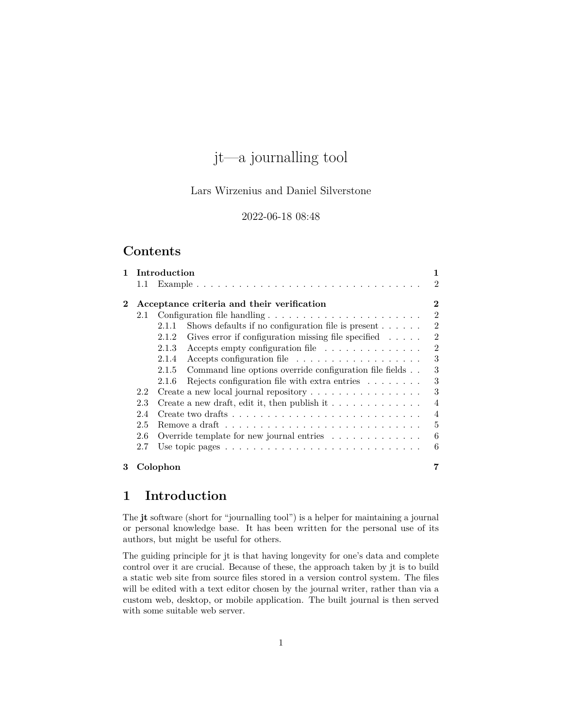# jt—a journalling tool

# Lars Wirzenius and Daniel Silverstone

# 2022-06-18 08:48

# **Contents**

| 1.       |         | Introduction                                                                             | 1              |
|----------|---------|------------------------------------------------------------------------------------------|----------------|
|          | $1.1\,$ |                                                                                          | $\mathfrak{D}$ |
| $\bf{2}$ |         | Acceptance criteria and their verification                                               | 2              |
|          | 2.1     |                                                                                          | $\overline{2}$ |
|          |         | Shows defaults if no configuration file is present $\dots$ .<br>2.1.1                    | $\overline{2}$ |
|          |         | 2.1.2<br>Gives error if configuration missing file specified $\dots$ .                   | $\mathfrak{D}$ |
|          |         | 2.1.3<br>Accepts empty configuration file                                                | $\overline{2}$ |
|          |         | 2.1.4<br>Accepts configuration file $\dots \dots \dots \dots \dots \dots$                | 3              |
|          |         | 2.1.5<br>Command line options override configuration file fields                         | 3              |
|          |         | Rejects configuration file with extra entries $\ldots \ldots$<br>2.1.6                   | 3              |
|          | 2.2     | Create a new local journal repository                                                    | 3              |
|          | 2.3     | Create a new draft, edit it, then publish it $\dots \dots \dots \dots$                   | 4              |
|          | 2.4     | Create two drafts $\dots \dots \dots \dots \dots \dots \dots \dots \dots \dots \dots$    | $\overline{4}$ |
|          | 2.5     | Remove a draft $\dots \dots \dots \dots \dots \dots \dots \dots \dots \dots \dots \dots$ | 5              |
|          | 2.6     | Override template for new journal entries $\ldots \ldots \ldots \ldots$                  | 6              |
|          | 2.7     | Use topic pages $\ldots \ldots \ldots \ldots \ldots \ldots \ldots \ldots \ldots \ldots$  | 6              |
| 3        |         | Colophon                                                                                 |                |

# <span id="page-0-0"></span>**1 Introduction**

The **jt** software (short for "journalling tool") is a helper for maintaining a journal or personal knowledge base. It has been written for the personal use of its authors, but might be useful for others.

The guiding principle for jt is that having longevity for one's data and complete control over it are crucial. Because of these, the approach taken by jt is to build a static web site from source files stored in a version control system. The files will be edited with a text editor chosen by the journal writer, rather than via a custom web, desktop, or mobile application. The built journal is then served with some suitable web server.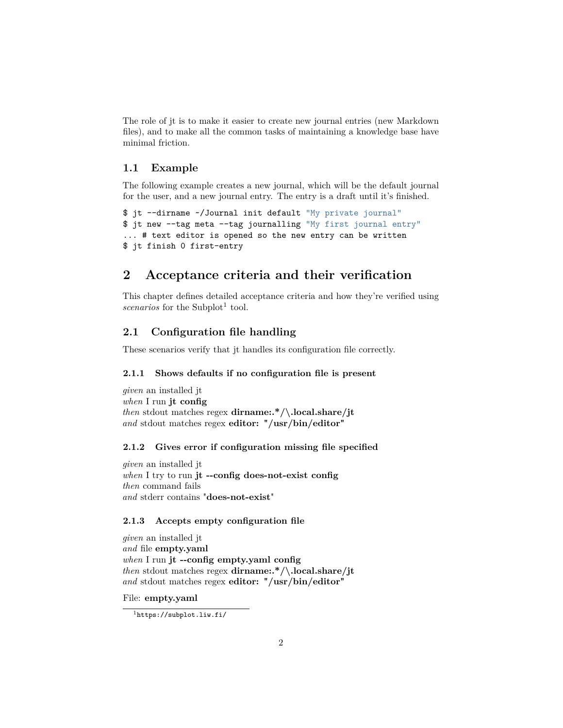The role of jt is to make it easier to create new journal entries (new Markdown files), and to make all the common tasks of maintaining a knowledge base have minimal friction.

#### <span id="page-1-0"></span>**1.1 Example**

The following example creates a new journal, which will be the default journal for the user, and a new journal entry. The entry is a draft until it's finished.

```
$ jt --dirname ~/Journal init default "My private journal"
$ jt new --tag meta --tag journalling "My first journal entry"
... # text editor is opened so the new entry can be written
$ jt finish 0 first-entry
```
# <span id="page-1-1"></span>**2 Acceptance criteria and their verification**

This chapter defines detailed acceptance criteria and how they're verified using  $scenarios$  for the Subplot<sup>[1](#page-1-6)</sup> tool.

### <span id="page-1-2"></span>**2.1 Configuration file handling**

These scenarios verify that jt handles its configuration file correctly.

#### <span id="page-1-3"></span>**2.1.1 Shows defaults if no configuration file is present**

*given* an installed jt *when* I run **jt config** *then* stdout matches regex **dirname:.\*/\.local.share/jt** *and* stdout matches regex **editor: "/usr/bin/editor"**

#### <span id="page-1-4"></span>**2.1.2 Gives error if configuration missing file specified**

*given* an installed jt *when* I try to run **jt --config does-not-exist config** *then* command fails *and* stderr contains "**does-not-exist**"

#### <span id="page-1-5"></span>**2.1.3 Accepts empty configuration file**

```
given an installed jt
and file empty.yaml
when I run jt --config empty.yaml config
then stdout matches regex dirname:.*/\.local.share/jt
and stdout matches regex editor: "/usr/bin/editor"
```
File: **empty.yaml**

<span id="page-1-6"></span><sup>1</sup><https://subplot.liw.fi/>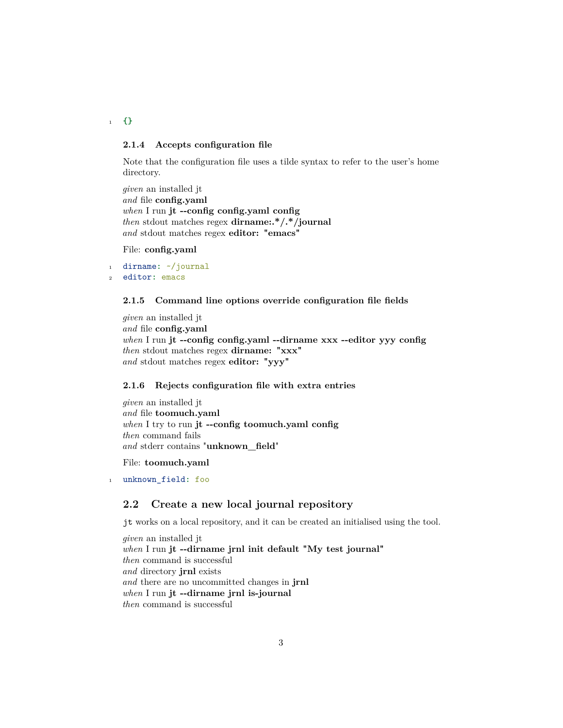<sup>1</sup> **{}**

#### <span id="page-2-0"></span>**2.1.4 Accepts configuration file**

Note that the configuration file uses a tilde syntax to refer to the user's home directory.

*given* an installed jt *and* file **config.yaml** *when* I run **jt --config config.yaml config** *then* stdout matches regex **dirname:.\*/.\*/journal** *and* stdout matches regex **editor: "emacs"**

File: **config.yaml**

```
1 dirname: ~/journal
2 editor: emacs
```
#### <span id="page-2-1"></span>**2.1.5 Command line options override configuration file fields**

*given* an installed jt *and* file **config.yaml** *when* I run **jt --config config.yaml --dirname xxx --editor yyy config** *then* stdout matches regex **dirname: "xxx"** *and* stdout matches regex **editor: "yyy"**

#### <span id="page-2-2"></span>**2.1.6 Rejects configuration file with extra entries**

*given* an installed jt *and* file **toomuch.yaml** *when* I try to run **jt --config toomuch.yaml config** *then* command fails *and* stderr contains "**unknown\_field**"

File: **toomuch.yaml**

<sup>1</sup> unknown\_field**:** foo

#### <span id="page-2-3"></span>**2.2 Create a new local journal repository**

jt works on a local repository, and it can be created an initialised using the tool.

*given* an installed jt *when* I run **jt --dirname jrnl init default "My test journal"** *then* command is successful *and* directory **jrnl** exists *and* there are no uncommitted changes in **jrnl** *when* I run **jt --dirname jrnl is-journal** *then* command is successful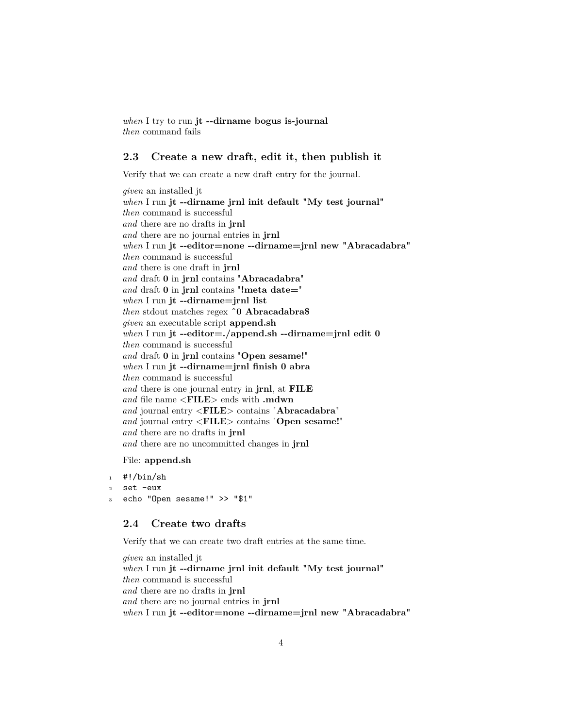*when* I try to run **jt --dirname bogus is-journal** *then* command fails

## <span id="page-3-0"></span>**2.3 Create a new draft, edit it, then publish it**

Verify that we can create a new draft entry for the journal.

*given* an installed jt *when* I run **jt --dirname jrnl init default "My test journal"** *then* command is successful *and* there are no drafts in **jrnl** *and* there are no journal entries in **jrnl** *when* I run **jt --editor=none --dirname=jrnl new "Abracadabra"** *then* command is successful *and* there is one draft in **jrnl** *and* draft **0** in **jrnl** contains "**Abracadabra**" *and* draft **0** in **jrnl** contains "**!meta date=**" *when* I run **jt --dirname=jrnl list** *then* stdout matches regex **ˆ0 Abracadabra\$** *given* an executable script **append.sh** *when* I run **jt --editor=./append.sh --dirname=jrnl edit 0** *then* command is successful *and* draft **0** in **jrnl** contains "**Open sesame!**" *when* I run **jt --dirname=jrnl finish 0 abra** *then* command is successful *and* there is one journal entry in **jrnl**, at **FILE** *and* file name <**FILE**> ends with **.mdwn** *and* journal entry <**FILE**> contains "**Abracadabra**" *and* journal entry <**FILE**> contains "**Open sesame!**" *and* there are no drafts in **jrnl** *and* there are no uncommitted changes in **jrnl**

#### File: **append.sh**

```
1 #!/bin/sh
```
<sup>2</sup> set -eux

```
3 echo "Open sesame!" >> "$1"
```
#### <span id="page-3-1"></span>**2.4 Create two drafts**

Verify that we can create two draft entries at the same time.

*given* an installed jt *when* I run **jt --dirname jrnl init default "My test journal"** *then* command is successful *and* there are no drafts in **jrnl** *and* there are no journal entries in **jrnl** *when* I run **jt --editor=none --dirname=jrnl new "Abracadabra"**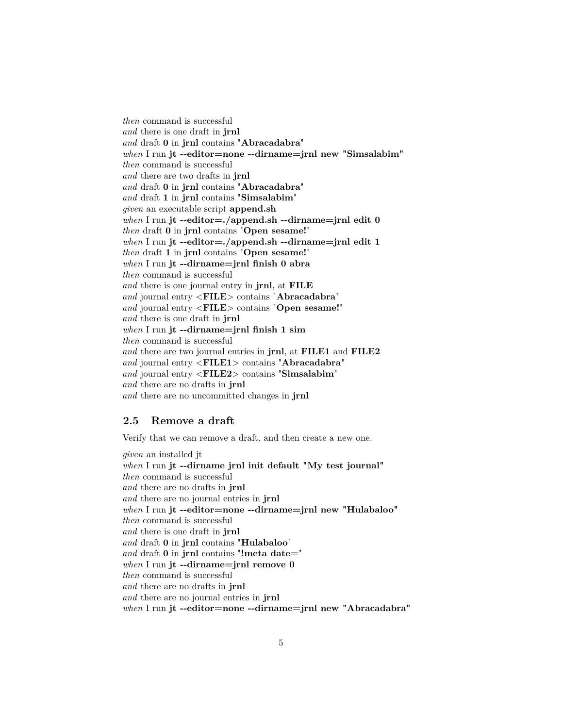*then* command is successful *and* there is one draft in **jrnl** *and* draft **0** in **jrnl** contains "**Abracadabra**" *when* I run **jt --editor=none --dirname=jrnl new "Simsalabim"** *then* command is successful *and* there are two drafts in **jrnl** *and* draft **0** in **jrnl** contains "**Abracadabra**" *and* draft **1** in **jrnl** contains "**Simsalabim**" *given* an executable script **append.sh** *when* I run **jt --editor=./append.sh --dirname=jrnl edit 0** *then* draft **0** in **jrnl** contains "**Open sesame!**" *when* I run **jt --editor=./append.sh --dirname=jrnl edit 1** *then* draft **1** in **jrnl** contains "**Open sesame!**" *when* I run **jt --dirname=jrnl finish 0 abra** *then* command is successful *and* there is one journal entry in **jrnl**, at **FILE** *and* journal entry <**FILE**> contains "**Abracadabra**" *and* journal entry <**FILE**> contains "**Open sesame!**" *and* there is one draft in **jrnl** *when* I run **jt --dirname=jrnl finish 1 sim** *then* command is successful *and* there are two journal entries in **jrnl**, at **FILE1** and **FILE2** *and* journal entry <**FILE1**> contains "**Abracadabra**" *and* journal entry <**FILE2**> contains "**Simsalabim**" *and* there are no drafts in **jrnl** *and* there are no uncommitted changes in **jrnl**

## <span id="page-4-0"></span>**2.5 Remove a draft**

Verify that we can remove a draft, and then create a new one.

*given* an installed jt *when* I run **jt --dirname jrnl init default "My test journal"** *then* command is successful *and* there are no drafts in **jrnl** *and* there are no journal entries in **jrnl** *when* I run **jt --editor=none --dirname=jrnl new "Hulabaloo"** *then* command is successful *and* there is one draft in **jrnl** *and* draft **0** in **jrnl** contains "**Hulabaloo**" *and* draft **0** in **jrnl** contains "**!meta date=**" *when* I run **jt --dirname=jrnl remove 0** *then* command is successful *and* there are no drafts in **jrnl** *and* there are no journal entries in **jrnl** *when* I run **jt --editor=none --dirname=jrnl new "Abracadabra"**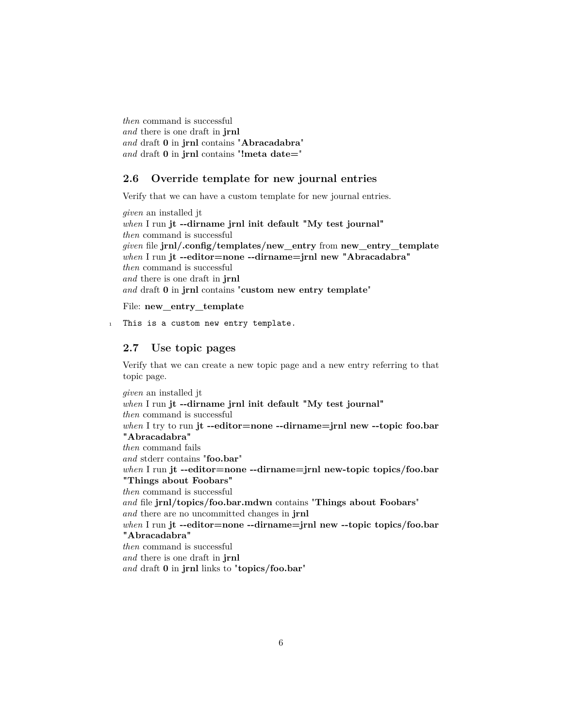*then* command is successful *and* there is one draft in **jrnl** *and* draft **0** in **jrnl** contains "**Abracadabra**" *and* draft **0** in **jrnl** contains "**!meta date=**"

### <span id="page-5-0"></span>**2.6 Override template for new journal entries**

Verify that we can have a custom template for new journal entries.

*given* an installed jt *when* I run **jt --dirname jrnl init default "My test journal"** *then* command is successful *given* file **jrnl/.config/templates/new\_entry** from **new\_entry\_template** *when* I run **jt --editor=none --dirname=jrnl new "Abracadabra"** *then* command is successful *and* there is one draft in **jrnl** *and* draft **0** in **jrnl** contains "**custom new entry template**"

File: **new\_entry\_template**

1 This is a custom new entry template.

# <span id="page-5-1"></span>**2.7 Use topic pages**

Verify that we can create a new topic page and a new entry referring to that topic page.

*given* an installed jt *when* I run **jt --dirname jrnl init default "My test journal"** *then* command is successful *when* I try to run **jt --editor=none --dirname=jrnl new --topic foo.bar "Abracadabra"** *then* command fails *and* stderr contains "**foo.bar**" *when* I run **jt --editor=none --dirname=jrnl new-topic topics/foo.bar "Things about Foobars"** *then* command is successful *and* file **jrnl/topics/foo.bar.mdwn** contains "**Things about Foobars**" *and* there are no uncommitted changes in **jrnl** *when* I run **jt --editor=none --dirname=jrnl new --topic topics/foo.bar "Abracadabra"** *then* command is successful *and* there is one draft in **jrnl** *and* draft **0** in **jrnl** links to "**topics/foo.bar**"